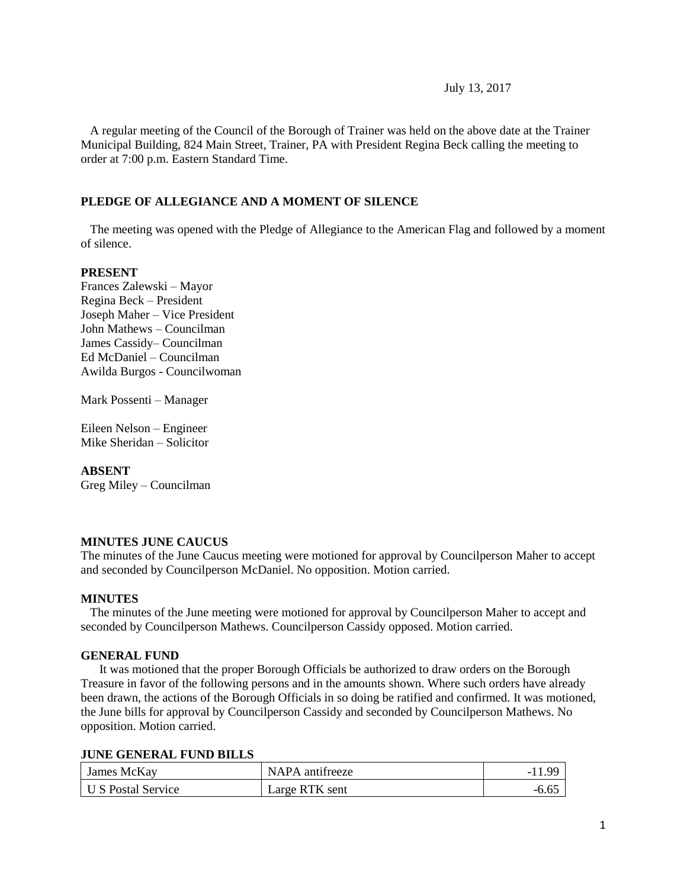July 13, 2017

 A regular meeting of the Council of the Borough of Trainer was held on the above date at the Trainer Municipal Building, 824 Main Street, Trainer, PA with President Regina Beck calling the meeting to order at 7:00 p.m. Eastern Standard Time.

#### **PLEDGE OF ALLEGIANCE AND A MOMENT OF SILENCE**

 The meeting was opened with the Pledge of Allegiance to the American Flag and followed by a moment of silence.

#### **PRESENT**

Frances Zalewski – Mayor Regina Beck – President Joseph Maher – Vice President John Mathews – Councilman James Cassidy– Councilman Ed McDaniel – Councilman Awilda Burgos - Councilwoman

Mark Possenti – Manager

Eileen Nelson – Engineer Mike Sheridan – Solicitor

#### **ABSENT**

Greg Miley – Councilman

#### **MINUTES JUNE CAUCUS**

The minutes of the June Caucus meeting were motioned for approval by Councilperson Maher to accept and seconded by Councilperson McDaniel. No opposition. Motion carried.

#### **MINUTES**

The minutes of the June meeting were motioned for approval by Councilperson Maher to accept and seconded by Councilperson Mathews. Councilperson Cassidy opposed. Motion carried.

#### **GENERAL FUND**

 It was motioned that the proper Borough Officials be authorized to draw orders on the Borough Treasure in favor of the following persons and in the amounts shown. Where such orders have already been drawn, the actions of the Borough Officials in so doing be ratified and confirmed. It was motioned, the June bills for approval by Councilperson Cassidy and seconded by Councilperson Mathews. No opposition. Motion carried.

#### **JUNE GENERAL FUND BILLS**

| James McKay        | NAPA antifreeze | $\alpha$ |
|--------------------|-----------------|----------|
| U S Postal Service | Large RTK sent  |          |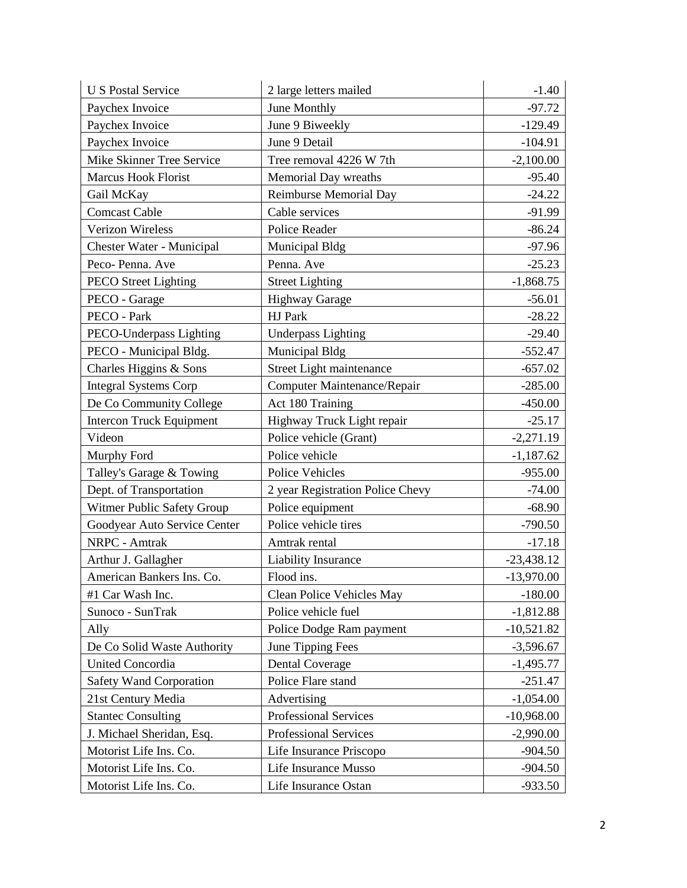| <b>U S Postal Service</b>       | 2 large letters mailed           | $-1.40$      |
|---------------------------------|----------------------------------|--------------|
| Paychex Invoice                 | June Monthly                     | $-97.72$     |
| Paychex Invoice                 | June 9 Biweekly                  | $-129.49$    |
| Paychex Invoice                 | June 9 Detail                    | $-104.91$    |
| Mike Skinner Tree Service       | Tree removal 4226 W 7th          | $-2,100.00$  |
| Marcus Hook Florist             | Memorial Day wreaths             | $-95.40$     |
| Gail McKay                      | <b>Reimburse Memorial Day</b>    | $-24.22$     |
| <b>Comcast Cable</b>            | Cable services                   | $-91.99$     |
| <b>Verizon Wireless</b>         | Police Reader                    | $-86.24$     |
| Chester Water - Municipal       | Municipal Bldg                   | $-97.96$     |
| Peco-Penna. Ave                 | Penna. Ave                       | $-25.23$     |
| <b>PECO</b> Street Lighting     | <b>Street Lighting</b>           | $-1,868.75$  |
| PECO - Garage                   | <b>Highway Garage</b>            | $-56.01$     |
| PECO - Park                     | HJ Park                          | $-28.22$     |
| PECO-Underpass Lighting         | <b>Underpass Lighting</b>        | $-29.40$     |
| PECO - Municipal Bldg.          | Municipal Bldg                   | $-552.47$    |
| Charles Higgins & Sons          | Street Light maintenance         | $-657.02$    |
| <b>Integral Systems Corp</b>    | Computer Maintenance/Repair      | $-285.00$    |
| De Co Community College         | Act 180 Training                 | $-450.00$    |
| <b>Intercon Truck Equipment</b> | Highway Truck Light repair       | $-25.17$     |
| Videon                          | Police vehicle (Grant)           | $-2,271.19$  |
| Murphy Ford                     | Police vehicle                   | $-1,187.62$  |
| Talley's Garage & Towing        | <b>Police Vehicles</b>           | $-955.00$    |
| Dept. of Transportation         | 2 year Registration Police Chevy | $-74.00$     |
| Witmer Public Safety Group      | Police equipment                 | $-68.90$     |
| Goodyear Auto Service Center    | Police vehicle tires             | $-790.50$    |
| NRPC - Amtrak                   | Amtrak rental                    | $-17.18$     |
| Arthur J. Gallagher             | Liability Insurance              | $-23,438.12$ |
| American Bankers Ins. Co.       | Flood ins.                       | $-13,970.00$ |
| #1 Car Wash Inc.                | Clean Police Vehicles May        | $-180.00$    |
| Sunoco - SunTrak                | Police vehicle fuel              | $-1,812.88$  |
| Ally                            | Police Dodge Ram payment         | $-10,521.82$ |
| De Co Solid Waste Authority     | June Tipping Fees                | $-3,596.67$  |
| <b>United Concordia</b>         | <b>Dental Coverage</b>           | $-1,495.77$  |
| <b>Safety Wand Corporation</b>  | Police Flare stand               | $-251.47$    |
| 21st Century Media              | Advertising                      | $-1,054.00$  |
| <b>Stantec Consulting</b>       | Professional Services            | $-10,968.00$ |
| J. Michael Sheridan, Esq.       | Professional Services            | $-2,990.00$  |
| Motorist Life Ins. Co.          | Life Insurance Priscopo          | $-904.50$    |
| Motorist Life Ins. Co.          | Life Insurance Musso             | $-904.50$    |
| Motorist Life Ins. Co.          | Life Insurance Ostan             | $-933.50$    |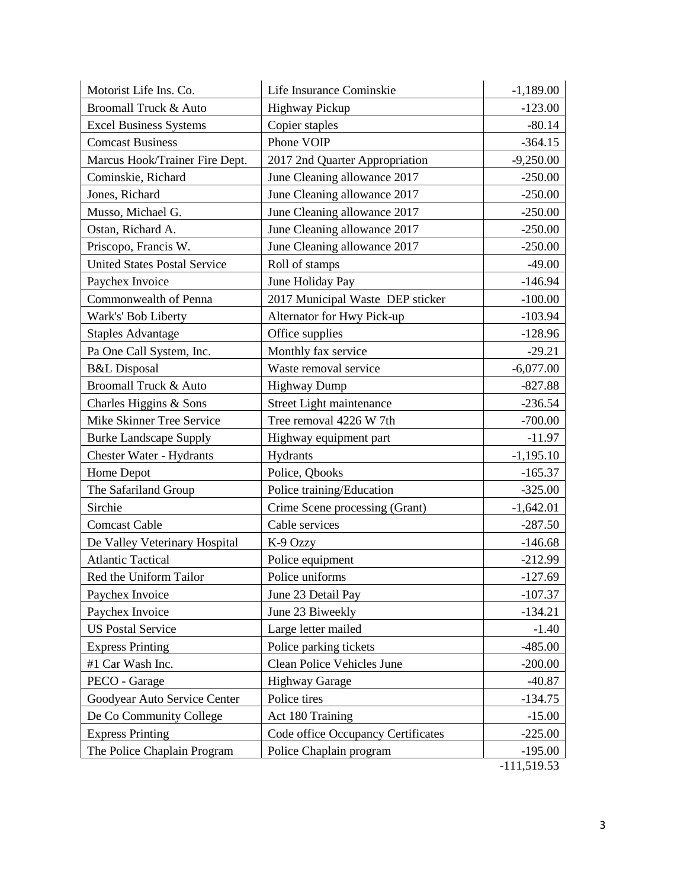| Motorist Life Ins. Co.              | Life Insurance Cominskie           | $-1,189.00$   |
|-------------------------------------|------------------------------------|---------------|
| Broomall Truck & Auto               | <b>Highway Pickup</b>              | $-123.00$     |
| <b>Excel Business Systems</b>       | Copier staples                     | $-80.14$      |
| <b>Comcast Business</b>             | Phone VOIP                         | $-364.15$     |
| Marcus Hook/Trainer Fire Dept.      | 2017 2nd Quarter Appropriation     | $-9,250.00$   |
| Cominskie, Richard                  | June Cleaning allowance 2017       | $-250.00$     |
| Jones, Richard                      | June Cleaning allowance 2017       | $-250.00$     |
| Musso, Michael G.                   | June Cleaning allowance 2017       | $-250.00$     |
| Ostan, Richard A.                   | June Cleaning allowance 2017       | $-250.00$     |
| Priscopo, Francis W.                | June Cleaning allowance 2017       | $-250.00$     |
| <b>United States Postal Service</b> | Roll of stamps                     | $-49.00$      |
| Paychex Invoice                     | June Holiday Pay                   | $-146.94$     |
| Commonwealth of Penna               | 2017 Municipal Waste DEP sticker   | $-100.00$     |
| Wark's' Bob Liberty                 | Alternator for Hwy Pick-up         | $-103.94$     |
| <b>Staples Advantage</b>            | Office supplies                    | $-128.96$     |
| Pa One Call System, Inc.            | Monthly fax service                | $-29.21$      |
| <b>B&amp;L</b> Disposal             | Waste removal service              | $-6,077.00$   |
| <b>Broomall Truck &amp; Auto</b>    | <b>Highway Dump</b>                | $-827.88$     |
| Charles Higgins & Sons              | Street Light maintenance           | $-236.54$     |
| Mike Skinner Tree Service           | Tree removal 4226 W 7th            | $-700.00$     |
| <b>Burke Landscape Supply</b>       | Highway equipment part             | $-11.97$      |
| <b>Chester Water - Hydrants</b>     | Hydrants                           | $-1,195.10$   |
| Home Depot                          | Police, Qbooks                     | $-165.37$     |
| The Safariland Group                | Police training/Education          | $-325.00$     |
| Sirchie                             | Crime Scene processing (Grant)     | $-1,642.01$   |
| <b>Comcast Cable</b>                | Cable services                     | $-287.50$     |
| De Valley Veterinary Hospital       | K-9 Ozzy                           | $-146.68$     |
| <b>Atlantic Tactical</b>            | Police equipment                   | $-212.99$     |
| Red the Uniform Tailor              | Police uniforms                    | $-127.69$     |
| Paychex Invoice                     | June 23 Detail Pay                 | $-107.37$     |
| Paychex Invoice                     | June 23 Biweekly                   | $-134.21$     |
| <b>US Postal Service</b>            | Large letter mailed                | $-1.40$       |
| <b>Express Printing</b>             | Police parking tickets             | $-485.00$     |
| #1 Car Wash Inc.                    | Clean Police Vehicles June         | $-200.00$     |
| PECO - Garage                       | <b>Highway Garage</b>              | $-40.87$      |
| Goodyear Auto Service Center        | Police tires                       | $-134.75$     |
| De Co Community College             | Act 180 Training                   | $-15.00$      |
| <b>Express Printing</b>             | Code office Occupancy Certificates | $-225.00$     |
| The Police Chaplain Program         | Police Chaplain program            | $-195.00$     |
|                                     |                                    | $-111,519.53$ |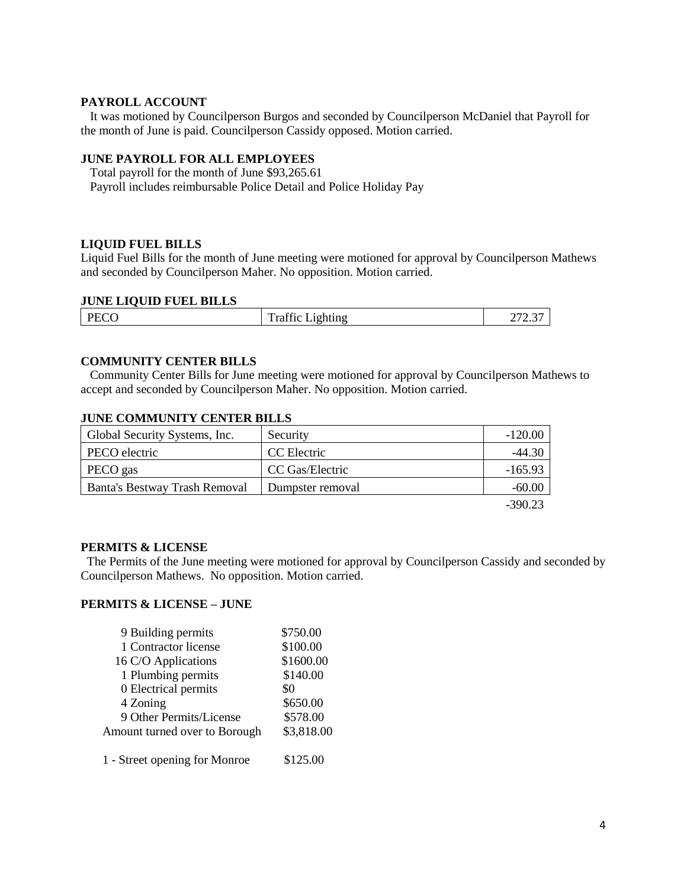## **PAYROLL ACCOUNT**

 It was motioned by Councilperson Burgos and seconded by Councilperson McDaniel that Payroll for the month of June is paid. Councilperson Cassidy opposed. Motion carried.

## **JUNE PAYROLL FOR ALL EMPLOYEES**

 Total payroll for the month of June \$93,265.61 Payroll includes reimbursable Police Detail and Police Holiday Pay

#### **LIQUID FUEL BILLS**

Liquid Fuel Bills for the month of June meeting were motioned for approval by Councilperson Mathews and seconded by Councilperson Maher. No opposition. Motion carried.

## **JUNE LIQUID FUEL BILLS**

| DE<br>120 | $\sim$<br>m<br>$-1$ $-$<br>mung | $\sim$ $-$<br>$\sim$ $\sim$<br>∼<br>ں ۔ |
|-----------|---------------------------------|-----------------------------------------|
|           |                                 |                                         |

#### **COMMUNITY CENTER BILLS**

 Community Center Bills for June meeting were motioned for approval by Councilperson Mathews to accept and seconded by Councilperson Maher. No opposition. Motion carried.

#### **JUNE COMMUNITY CENTER BILLS**

| Global Security Systems, Inc. | Security         | $-120.00$ |
|-------------------------------|------------------|-----------|
| PECO electric                 | CC Electric      | $-44.30$  |
| PECO gas                      | CC Gas/Electric  | $-165.93$ |
| Banta's Bestway Trash Removal | Dumpster removal | $-60.00$  |
|                               |                  | $-390.23$ |

#### **PERMITS & LICENSE**

The Permits of the June meeting were motioned for approval by Councilperson Cassidy and seconded by Councilperson Mathews. No opposition. Motion carried.

## **PERMITS & LICENSE – JUNE**

| 9 Building permits            | \$750.00   |
|-------------------------------|------------|
| 1 Contractor license          | \$100.00   |
| 16 C/O Applications           | \$1600.00  |
| 1 Plumbing permits            | \$140.00   |
| 0 Electrical permits          | \$0        |
| 4 Zoning                      | \$650.00   |
| 9 Other Permits/License       | \$578.00   |
| Amount turned over to Borough | \$3,818.00 |
| 1 - Street opening for Monroe | \$125.00   |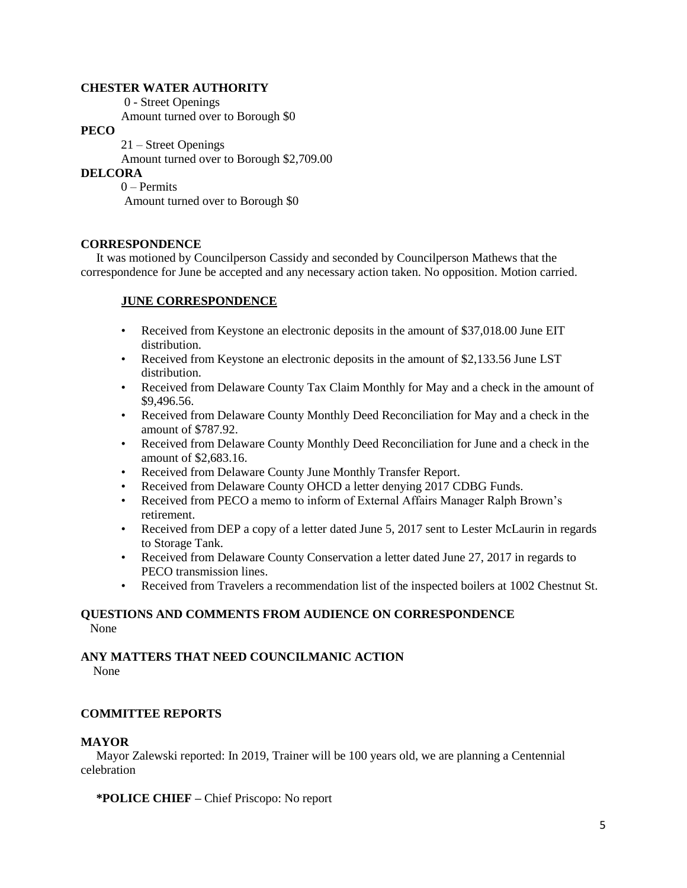#### **CHESTER WATER AUTHORITY**

0 - Street Openings

Amount turned over to Borough \$0

# **PECO**

 21 – Street Openings Amount turned over to Borough \$2,709.00

## **DELCORA**

0 – Permits Amount turned over to Borough \$0

## **CORRESPONDENCE**

 It was motioned by Councilperson Cassidy and seconded by Councilperson Mathews that the correspondence for June be accepted and any necessary action taken. No opposition. Motion carried.

# **JUNE CORRESPONDENCE**

- Received from Keystone an electronic deposits in the amount of \$37,018.00 June EIT distribution.
- Received from Keystone an electronic deposits in the amount of \$2,133.56 June LST distribution.
- Received from Delaware County Tax Claim Monthly for May and a check in the amount of \$9,496.56.
- Received from Delaware County Monthly Deed Reconciliation for May and a check in the amount of \$787.92.
- Received from Delaware County Monthly Deed Reconciliation for June and a check in the amount of \$2,683.16.
- Received from Delaware County June Monthly Transfer Report.
- Received from Delaware County OHCD a letter denying 2017 CDBG Funds.
- Received from PECO a memo to inform of External Affairs Manager Ralph Brown's retirement.
- Received from DEP a copy of a letter dated June 5, 2017 sent to Lester McLaurin in regards to Storage Tank.
- Received from Delaware County Conservation a letter dated June 27, 2017 in regards to PECO transmission lines.
- Received from Travelers a recommendation list of the inspected boilers at 1002 Chestnut St.

# **QUESTIONS AND COMMENTS FROM AUDIENCE ON CORRESPONDENCE** None

#### **ANY MATTERS THAT NEED COUNCILMANIC ACTION** None

## **COMMITTEE REPORTS**

#### **MAYOR**

Mayor Zalewski reported: In 2019, Trainer will be 100 years old, we are planning a Centennial celebration

## **\*POLICE CHIEF –** Chief Priscopo: No report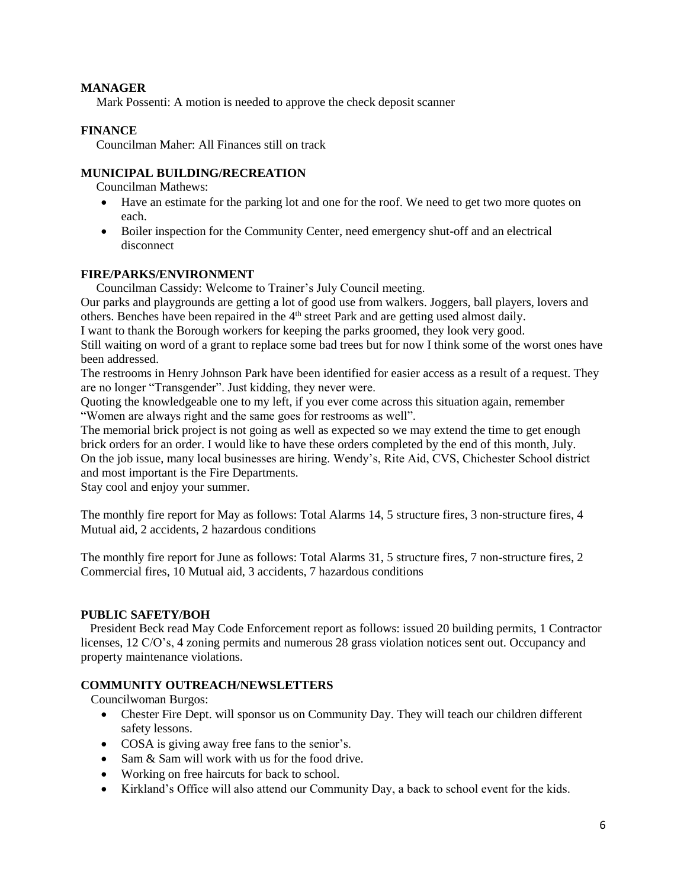## **MANAGER**

Mark Possenti: A motion is needed to approve the check deposit scanner

# **FINANCE**

Councilman Maher: All Finances still on track

# **MUNICIPAL BUILDING/RECREATION**

Councilman Mathews:

- Have an estimate for the parking lot and one for the roof. We need to get two more quotes on each.
- Boiler inspection for the Community Center, need emergency shut-off and an electrical disconnect

## **FIRE/PARKS/ENVIRONMENT**

Councilman Cassidy: Welcome to Trainer's July Council meeting.

Our parks and playgrounds are getting a lot of good use from walkers. Joggers, ball players, lovers and others. Benches have been repaired in the  $4<sup>th</sup>$  street Park and are getting used almost daily.

I want to thank the Borough workers for keeping the parks groomed, they look very good.

Still waiting on word of a grant to replace some bad trees but for now I think some of the worst ones have been addressed.

The restrooms in Henry Johnson Park have been identified for easier access as a result of a request. They are no longer "Transgender". Just kidding, they never were.

Quoting the knowledgeable one to my left, if you ever come across this situation again, remember "Women are always right and the same goes for restrooms as well".

The memorial brick project is not going as well as expected so we may extend the time to get enough brick orders for an order. I would like to have these orders completed by the end of this month, July. On the job issue, many local businesses are hiring. Wendy's, Rite Aid, CVS, Chichester School district and most important is the Fire Departments.

Stay cool and enjoy your summer.

The monthly fire report for May as follows: Total Alarms 14, 5 structure fires, 3 non-structure fires, 4 Mutual aid, 2 accidents, 2 hazardous conditions

The monthly fire report for June as follows: Total Alarms 31, 5 structure fires, 7 non-structure fires, 2 Commercial fires, 10 Mutual aid, 3 accidents, 7 hazardous conditions

## **PUBLIC SAFETY/BOH**

 President Beck read May Code Enforcement report as follows: issued 20 building permits, 1 Contractor licenses, 12 C/O's, 4 zoning permits and numerous 28 grass violation notices sent out. Occupancy and property maintenance violations.

## **COMMUNITY OUTREACH/NEWSLETTERS**

Councilwoman Burgos:

- Chester Fire Dept. will sponsor us on Community Day. They will teach our children different safety lessons.
- COSA is giving away free fans to the senior's.
- Sam & Sam will work with us for the food drive.
- Working on free haircuts for back to school.
- Kirkland's Office will also attend our Community Day, a back to school event for the kids.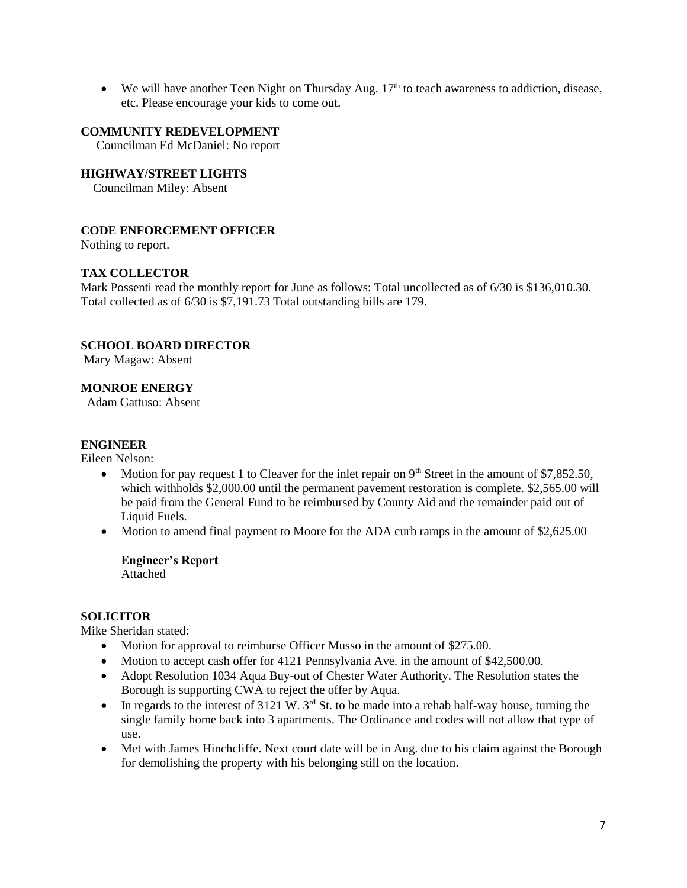$\bullet$  We will have another Teen Night on Thursday Aug. 17<sup>th</sup> to teach awareness to addiction, disease, etc. Please encourage your kids to come out.

#### **COMMUNITY REDEVELOPMENT**

Councilman Ed McDaniel: No report

## **HIGHWAY/STREET LIGHTS**

Councilman Miley: Absent

## **CODE ENFORCEMENT OFFICER**

Nothing to report.

## **TAX COLLECTOR**

Mark Possenti read the monthly report for June as follows: Total uncollected as of 6/30 is \$136,010.30. Total collected as of 6/30 is \$7,191.73 Total outstanding bills are 179.

## **SCHOOL BOARD DIRECTOR**

Mary Magaw: Absent

#### **MONROE ENERGY**

Adam Gattuso: Absent

#### **ENGINEER**

Eileen Nelson:

- Motion for pay request 1 to Cleaver for the inlet repair on  $9<sup>th</sup>$  Street in the amount of \$7,852.50, which withholds \$2,000.00 until the permanent pavement restoration is complete. \$2,565.00 will be paid from the General Fund to be reimbursed by County Aid and the remainder paid out of Liquid Fuels.
- Motion to amend final payment to Moore for the ADA curb ramps in the amount of \$2,625.00

**Engineer's Report** Attached

#### **SOLICITOR**

Mike Sheridan stated:

- Motion for approval to reimburse Officer Musso in the amount of \$275.00.
- Motion to accept cash offer for 4121 Pennsylvania Ave. in the amount of \$42,500.00.
- Adopt Resolution 1034 Aqua Buy-out of Chester Water Authority. The Resolution states the Borough is supporting CWA to reject the offer by Aqua.
- In regards to the interest of 3121 W.  $3^{rd}$  St. to be made into a rehab half-way house, turning the single family home back into 3 apartments. The Ordinance and codes will not allow that type of use.
- Met with James Hinchcliffe. Next court date will be in Aug. due to his claim against the Borough for demolishing the property with his belonging still on the location.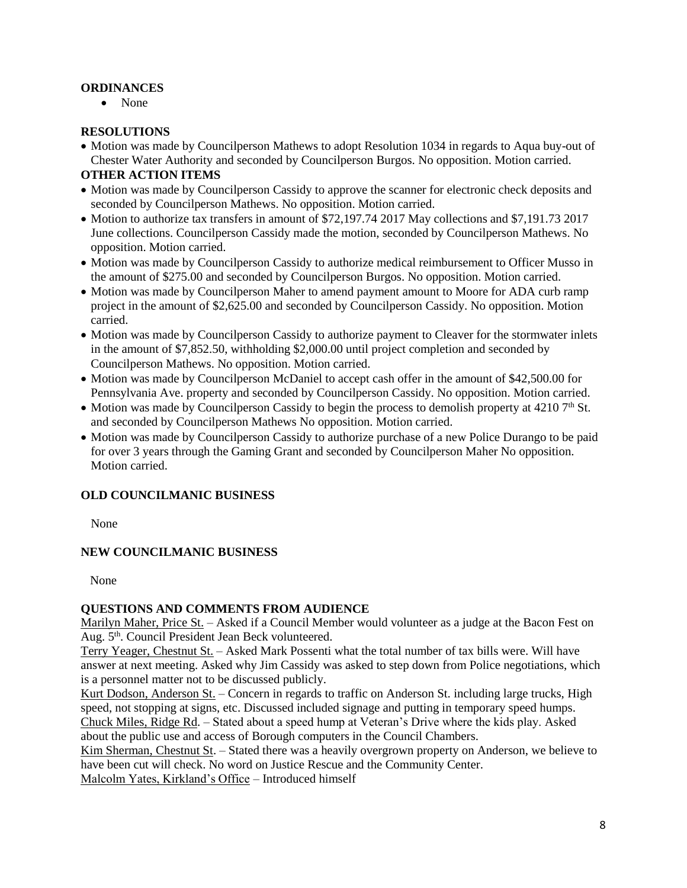# **ORDINANCES**

• None

## **RESOLUTIONS**

• Motion was made by Councilperson Mathews to adopt Resolution 1034 in regards to Aqua buy-out of Chester Water Authority and seconded by Councilperson Burgos. No opposition. Motion carried.

## **OTHER ACTION ITEMS**

- Motion was made by Councilperson Cassidy to approve the scanner for electronic check deposits and seconded by Councilperson Mathews. No opposition. Motion carried.
- Motion to authorize tax transfers in amount of \$72,197.74 2017 May collections and \$7,191.73 2017 June collections. Councilperson Cassidy made the motion, seconded by Councilperson Mathews. No opposition. Motion carried.
- Motion was made by Councilperson Cassidy to authorize medical reimbursement to Officer Musso in the amount of \$275.00 and seconded by Councilperson Burgos. No opposition. Motion carried.
- Motion was made by Councilperson Maher to amend payment amount to Moore for ADA curb ramp project in the amount of \$2,625.00 and seconded by Councilperson Cassidy. No opposition. Motion carried.
- Motion was made by Councilperson Cassidy to authorize payment to Cleaver for the stormwater inlets in the amount of \$7,852.50, withholding \$2,000.00 until project completion and seconded by Councilperson Mathews. No opposition. Motion carried.
- Motion was made by Councilperson McDaniel to accept cash offer in the amount of \$42,500.00 for Pennsylvania Ave. property and seconded by Councilperson Cassidy. No opposition. Motion carried.
- Motion was made by Councilperson Cassidy to begin the process to demolish property at 4210  $7<sup>th</sup>$  St. and seconded by Councilperson Mathews No opposition. Motion carried.
- Motion was made by Councilperson Cassidy to authorize purchase of a new Police Durango to be paid for over 3 years through the Gaming Grant and seconded by Councilperson Maher No opposition. Motion carried.

## **OLD COUNCILMANIC BUSINESS**

None

## **NEW COUNCILMANIC BUSINESS**

None

## **QUESTIONS AND COMMENTS FROM AUDIENCE**

Marilyn Maher, Price St. – Asked if a Council Member would volunteer as a judge at the Bacon Fest on Aug. 5th. Council President Jean Beck volunteered.

Terry Yeager, Chestnut St. – Asked Mark Possenti what the total number of tax bills were. Will have answer at next meeting. Asked why Jim Cassidy was asked to step down from Police negotiations, which is a personnel matter not to be discussed publicly.

Kurt Dodson, Anderson St. – Concern in regards to traffic on Anderson St. including large trucks, High speed, not stopping at signs, etc. Discussed included signage and putting in temporary speed humps. Chuck Miles, Ridge Rd. – Stated about a speed hump at Veteran's Drive where the kids play. Asked about the public use and access of Borough computers in the Council Chambers.

Kim Sherman, Chestnut St. – Stated there was a heavily overgrown property on Anderson, we believe to have been cut will check. No word on Justice Rescue and the Community Center.

Malcolm Yates, Kirkland's Office – Introduced himself